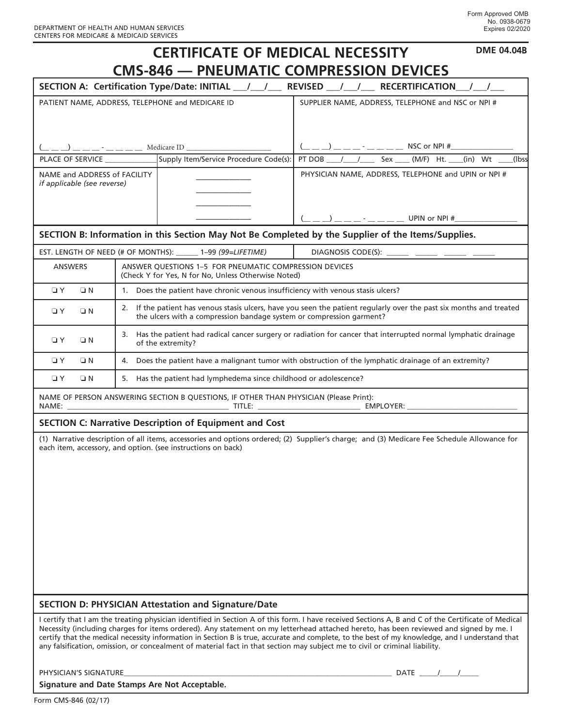| <b>DME 04.04B</b><br><b>CERTIFICATE OF MEDICAL NECESSITY</b>                                                                                                                                                                                                                                                                                                                                                                                                                                                                                                                  |                                                                                                                                                                                              |                                                                                                               |                                                                                                                                             |  |
|-------------------------------------------------------------------------------------------------------------------------------------------------------------------------------------------------------------------------------------------------------------------------------------------------------------------------------------------------------------------------------------------------------------------------------------------------------------------------------------------------------------------------------------------------------------------------------|----------------------------------------------------------------------------------------------------------------------------------------------------------------------------------------------|---------------------------------------------------------------------------------------------------------------|---------------------------------------------------------------------------------------------------------------------------------------------|--|
| <b>CMS-846 - PNEUMATIC COMPRESSION DEVICES</b>                                                                                                                                                                                                                                                                                                                                                                                                                                                                                                                                |                                                                                                                                                                                              |                                                                                                               |                                                                                                                                             |  |
| SECTION A: Certification Type/Date: INITIAL __/ __/ __ REVISED __/ __/ __ RECERTIFICATION __/ __/                                                                                                                                                                                                                                                                                                                                                                                                                                                                             |                                                                                                                                                                                              |                                                                                                               |                                                                                                                                             |  |
| PATIENT NAME, ADDRESS, TELEPHONE and MEDICARE ID                                                                                                                                                                                                                                                                                                                                                                                                                                                                                                                              |                                                                                                                                                                                              |                                                                                                               | SUPPLIER NAME, ADDRESS, TELEPHONE and NSC or NPI #                                                                                          |  |
|                                                                                                                                                                                                                                                                                                                                                                                                                                                                                                                                                                               |                                                                                                                                                                                              |                                                                                                               |                                                                                                                                             |  |
|                                                                                                                                                                                                                                                                                                                                                                                                                                                                                                                                                                               |                                                                                                                                                                                              |                                                                                                               |                                                                                                                                             |  |
| PLACE OF SERVICE                                                                                                                                                                                                                                                                                                                                                                                                                                                                                                                                                              |                                                                                                                                                                                              | Supply Item/Service Procedure Code(s):                                                                        | PT DOB $1$ $2$ Sex $(M/F)$ Ht. (in) Wt<br>(Ibss                                                                                             |  |
| NAME and ADDRESS of FACILITY<br>if applicable (see reverse)                                                                                                                                                                                                                                                                                                                                                                                                                                                                                                                   |                                                                                                                                                                                              |                                                                                                               | PHYSICIAN NAME, ADDRESS, TELEPHONE and UPIN or NPI #                                                                                        |  |
|                                                                                                                                                                                                                                                                                                                                                                                                                                                                                                                                                                               |                                                                                                                                                                                              |                                                                                                               |                                                                                                                                             |  |
|                                                                                                                                                                                                                                                                                                                                                                                                                                                                                                                                                                               |                                                                                                                                                                                              |                                                                                                               |                                                                                                                                             |  |
|                                                                                                                                                                                                                                                                                                                                                                                                                                                                                                                                                                               |                                                                                                                                                                                              |                                                                                                               | SECTION B: Information in this Section May Not Be Completed by the Supplier of the Items/Supplies.                                          |  |
| EST. LENGTH OF NEED (# OF MONTHS): ______ 1-99 (99=LIFETIME)<br>DIAGNOSIS CODE(S): ______ ______ ______ ____                                                                                                                                                                                                                                                                                                                                                                                                                                                                  |                                                                                                                                                                                              |                                                                                                               |                                                                                                                                             |  |
| <b>ANSWERS</b>                                                                                                                                                                                                                                                                                                                                                                                                                                                                                                                                                                |                                                                                                                                                                                              | ANSWER QUESTIONS 1-5 FOR PNEUMATIC COMPRESSION DEVICES<br>(Check Y for Yes, N for No, Unless Otherwise Noted) |                                                                                                                                             |  |
| $\Box$ Y<br>$\Box N$                                                                                                                                                                                                                                                                                                                                                                                                                                                                                                                                                          | 1. Does the patient have chronic venous insufficiency with venous stasis ulcers?                                                                                                             |                                                                                                               |                                                                                                                                             |  |
| $\Box$ Y<br>$\Box N$                                                                                                                                                                                                                                                                                                                                                                                                                                                                                                                                                          | 2. If the patient has venous stasis ulcers, have you seen the patient regularly over the past six months and treated<br>the ulcers with a compression bandage system or compression garment? |                                                                                                               |                                                                                                                                             |  |
| $\Box$ Y<br>ON                                                                                                                                                                                                                                                                                                                                                                                                                                                                                                                                                                | 3. Has the patient had radical cancer surgery or radiation for cancer that interrupted normal lymphatic drainage<br>of the extremity?                                                        |                                                                                                               |                                                                                                                                             |  |
| $\Box$ Y<br>$\Box N$                                                                                                                                                                                                                                                                                                                                                                                                                                                                                                                                                          | 4. Does the patient have a malignant tumor with obstruction of the lymphatic drainage of an extremity?                                                                                       |                                                                                                               |                                                                                                                                             |  |
| 5. Has the patient had lymphedema since childhood or adolescence?<br>$\Box$ Y<br>$\Box N$                                                                                                                                                                                                                                                                                                                                                                                                                                                                                     |                                                                                                                                                                                              |                                                                                                               |                                                                                                                                             |  |
| NAME OF PERSON ANSWERING SECTION B QUESTIONS, IF OTHER THAN PHYSICIAN (Please Print):                                                                                                                                                                                                                                                                                                                                                                                                                                                                                         |                                                                                                                                                                                              |                                                                                                               |                                                                                                                                             |  |
|                                                                                                                                                                                                                                                                                                                                                                                                                                                                                                                                                                               |                                                                                                                                                                                              | <b>SECTION C: Narrative Description of Equipment and Cost</b>                                                 |                                                                                                                                             |  |
|                                                                                                                                                                                                                                                                                                                                                                                                                                                                                                                                                                               |                                                                                                                                                                                              | each item, accessory, and option. (see instructions on back)                                                  | (1) Narrative description of all items, accessories and options ordered; (2) Supplier's charge; and (3) Medicare Fee Schedule Allowance for |  |
| <b>SECTION D: PHYSICIAN Attestation and Signature/Date</b>                                                                                                                                                                                                                                                                                                                                                                                                                                                                                                                    |                                                                                                                                                                                              |                                                                                                               |                                                                                                                                             |  |
| I certify that I am the treating physician identified in Section A of this form. I have received Sections A, B and C of the Certificate of Medical<br>Necessity (including charges for items ordered). Any statement on my letterhead attached hereto, has been reviewed and signed by me. I<br>certify that the medical necessity information in Section B is true, accurate and complete, to the best of my knowledge, and I understand that<br>any falsification, omission, or concealment of material fact in that section may subject me to civil or criminal liability. |                                                                                                                                                                                              |                                                                                                               |                                                                                                                                             |  |
| PHYSICIAN'S SIGNATURE                                                                                                                                                                                                                                                                                                                                                                                                                                                                                                                                                         |                                                                                                                                                                                              |                                                                                                               | DATE $\frac{1}{2}$                                                                                                                          |  |

**Signature and Date Stamps Are Not Acceptable.**